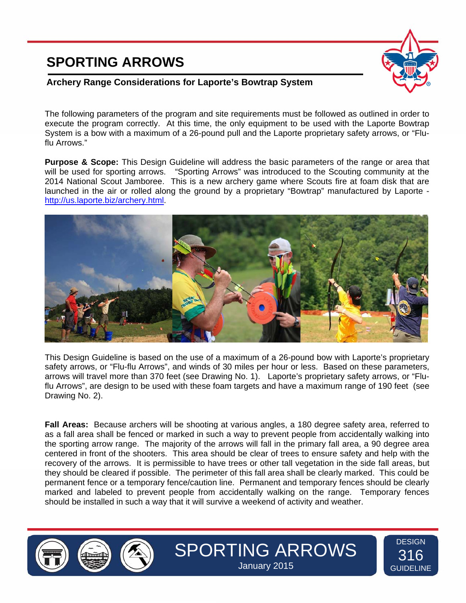## **SPORTING ARROWS**



**DESIGN** 316 **GUIDELINE** 

## **Archery Range Considerations for Laporte's Bowtrap System**

The following parameters of the program and site requirements must be followed as outlined in order to execute the program correctly. At this time, the only equipment to be used with the Laporte Bowtrap System is a bow with a maximum of a 26-pound pull and the Laporte proprietary safety arrows, or "Fluflu Arrows."

**Purpose & Scope:** This Design Guideline will address the basic parameters of the range or area that will be used for sporting arrows. "Sporting Arrows" was introduced to the Scouting community at the 2014 National Scout Jamboree. This is a new archery game where Scouts fire at foam disk that are launched in the air or rolled along the ground by a proprietary "Bowtrap" manufactured by Laporte http://us.laporte.biz/archery.html.



This Design Guideline is based on the use of a maximum of a 26-pound bow with Laporte's proprietary safety arrows, or "Flu-flu Arrows", and winds of 30 miles per hour or less. Based on these parameters, arrows will travel more than 370 feet (see Drawing No. 1). Laporte's proprietary safety arrows, or "Fluflu Arrows", are design to be used with these foam targets and have a maximum range of 190 feet (see Drawing No. 2).

**Fall Areas:** Because archers will be shooting at various angles, a 180 degree safety area, referred to as a fall area shall be fenced or marked in such a way to prevent people from accidentally walking into the sporting arrow range. The majority of the arrows will fall in the primary fall area, a 90 degree area centered in front of the shooters. This area should be clear of trees to ensure safety and help with the recovery of the arrows. It is permissible to have trees or other tall vegetation in the side fall areas, but they should be cleared if possible. The perimeter of this fall area shall be clearly marked. This could be permanent fence or a temporary fence/caution line. Permanent and temporary fences should be clearly marked and labeled to prevent people from accidentally walking on the range. Temporary fences should be installed in such a way that it will survive a weekend of activity and weather.





SPORTING ARROWS January 2015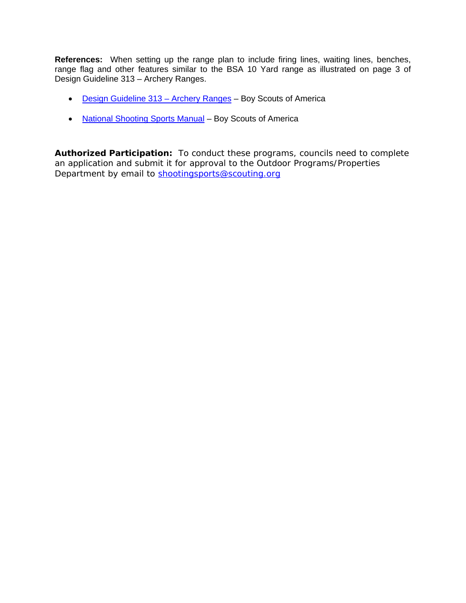**References:** When setting up the range plan to include firing lines, waiting lines, benches, range flag and other features similar to the BSA 10 Yard range as illustrated on page 3 of Design Guideline 313 – Archery Ranges.

- Design Guideline 313 Archery Ranges Boy Scouts of America
- National Shooting Sports Manual Boy Scouts of America

**Authorized Participation:** To conduct these programs, councils need to complete an application and submit it for approval to the Outdoor Programs/Properties Department by email to shootingsports@scouting.org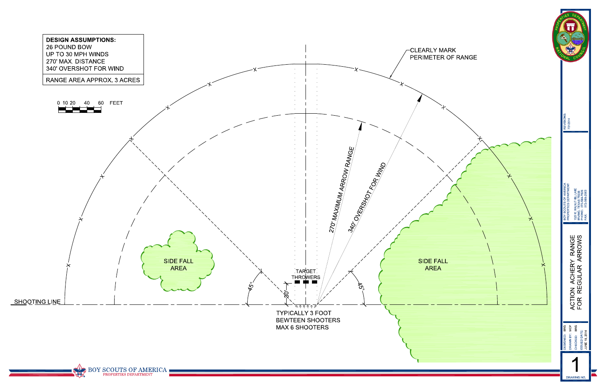